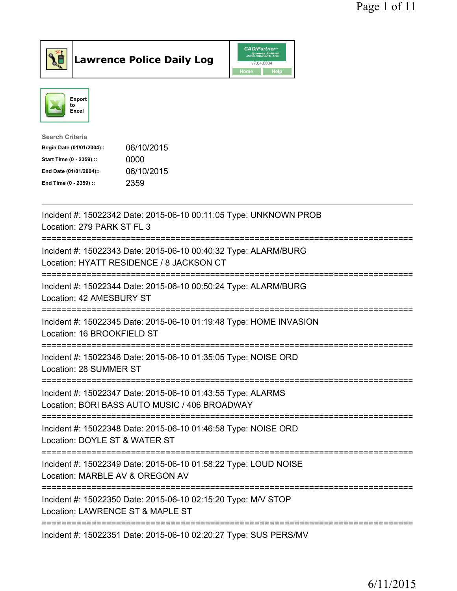





| Search Criteria           |            |
|---------------------------|------------|
| Begin Date (01/01/2004):: | 06/10/2015 |
| Start Time (0 - 2359) ::  | 0000       |
| End Date (01/01/2004)::   | 06/10/2015 |
| End Time (0 - 2359) ::    | 2359       |
|                           |            |

| Incident #: 15022342 Date: 2015-06-10 00:11:05 Type: UNKNOWN PROB<br>Location: 279 PARK ST FL 3<br>================<br>============== |
|---------------------------------------------------------------------------------------------------------------------------------------|
| Incident #: 15022343 Date: 2015-06-10 00:40:32 Type: ALARM/BURG<br>Location: HYATT RESIDENCE / 8 JACKSON CT                           |
| Incident #: 15022344 Date: 2015-06-10 00:50:24 Type: ALARM/BURG<br>Location: 42 AMESBURY ST<br>--------------                         |
| Incident #: 15022345 Date: 2015-06-10 01:19:48 Type: HOME INVASION<br>Location: 16 BROOKFIELD ST                                      |
| Incident #: 15022346 Date: 2015-06-10 01:35:05 Type: NOISE ORD<br>Location: 28 SUMMER ST                                              |
| Incident #: 15022347 Date: 2015-06-10 01:43:55 Type: ALARMS<br>Location: BORI BASS AUTO MUSIC / 406 BROADWAY                          |
| ================================<br>Incident #: 15022348 Date: 2015-06-10 01:46:58 Type: NOISE ORD<br>Location: DOYLE ST & WATER ST   |
| Incident #: 15022349 Date: 2015-06-10 01:58:22 Type: LOUD NOISE<br>Location: MARBLE AV & OREGON AV                                    |
| Incident #: 15022350 Date: 2015-06-10 02:15:20 Type: M/V STOP<br>Location: LAWRENCE ST & MAPLE ST                                     |
| Incident #: 15022351 Date: 2015-06-10 02:20:27 Type: SUS PERS/MV                                                                      |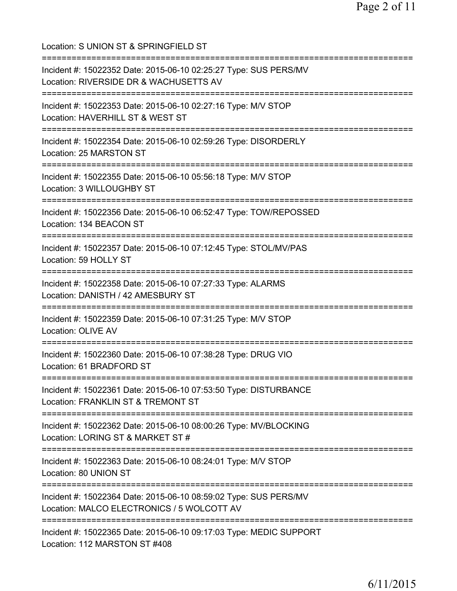| Location: S UNION ST & SPRINGFIELD ST                                                                                                       |
|---------------------------------------------------------------------------------------------------------------------------------------------|
| Incident #: 15022352 Date: 2015-06-10 02:25:27 Type: SUS PERS/MV<br>Location: RIVERSIDE DR & WACHUSETTS AV<br>============================= |
| Incident #: 15022353 Date: 2015-06-10 02:27:16 Type: M/V STOP<br>Location: HAVERHILL ST & WEST ST<br>-----------------------                |
| Incident #: 15022354 Date: 2015-06-10 02:59:26 Type: DISORDERLY<br>Location: 25 MARSTON ST<br>==============================                |
| Incident #: 15022355 Date: 2015-06-10 05:56:18 Type: M/V STOP<br>Location: 3 WILLOUGHBY ST<br>-----------------------------------           |
| Incident #: 15022356 Date: 2015-06-10 06:52:47 Type: TOW/REPOSSED<br>Location: 134 BEACON ST<br>---------------------------------           |
| Incident #: 15022357 Date: 2015-06-10 07:12:45 Type: STOL/MV/PAS<br>Location: 59 HOLLY ST                                                   |
| Incident #: 15022358 Date: 2015-06-10 07:27:33 Type: ALARMS<br>Location: DANISTH / 42 AMESBURY ST<br>====================                   |
| Incident #: 15022359 Date: 2015-06-10 07:31:25 Type: M/V STOP<br>Location: OLIVE AV                                                         |
| Incident #: 15022360 Date: 2015-06-10 07:38:28 Type: DRUG VIO<br>Location: 61 BRADFORD ST                                                   |
| Incident #: 15022361 Date: 2015-06-10 07:53:50 Type: DISTURBANCE<br>Location: FRANKLIN ST & TREMONT ST                                      |
| Incident #: 15022362 Date: 2015-06-10 08:00:26 Type: MV/BLOCKING<br>Location: LORING ST & MARKET ST #                                       |
| Incident #: 15022363 Date: 2015-06-10 08:24:01 Type: M/V STOP<br>Location: 80 UNION ST                                                      |
| Incident #: 15022364 Date: 2015-06-10 08:59:02 Type: SUS PERS/MV<br>Location: MALCO ELECTRONICS / 5 WOLCOTT AV                              |
| Incident #: 15022365 Date: 2015-06-10 09:17:03 Type: MEDIC SUPPORT<br>Location: 112 MARSTON ST #408                                         |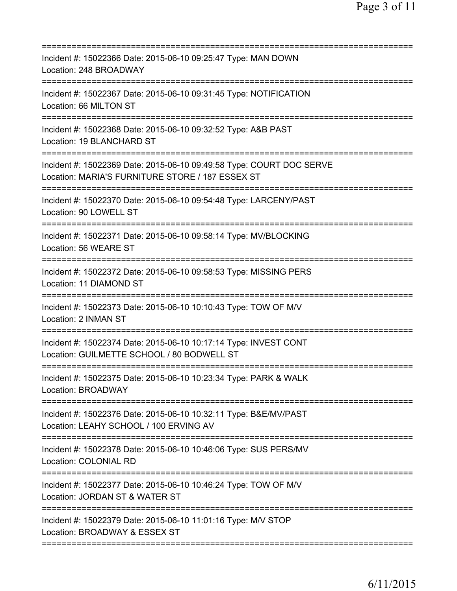| Incident #: 15022366 Date: 2015-06-10 09:25:47 Type: MAN DOWN<br>Location: 248 BROADWAY                                                                 |
|---------------------------------------------------------------------------------------------------------------------------------------------------------|
| Incident #: 15022367 Date: 2015-06-10 09:31:45 Type: NOTIFICATION<br>Location: 66 MILTON ST                                                             |
| Incident #: 15022368 Date: 2015-06-10 09:32:52 Type: A&B PAST<br>Location: 19 BLANCHARD ST                                                              |
| Incident #: 15022369 Date: 2015-06-10 09:49:58 Type: COURT DOC SERVE<br>Location: MARIA'S FURNITURE STORE / 187 ESSEX ST<br>=========================== |
| Incident #: 15022370 Date: 2015-06-10 09:54:48 Type: LARCENY/PAST<br>Location: 90 LOWELL ST                                                             |
| Incident #: 15022371 Date: 2015-06-10 09:58:14 Type: MV/BLOCKING<br>Location: 56 WEARE ST                                                               |
| Incident #: 15022372 Date: 2015-06-10 09:58:53 Type: MISSING PERS<br>Location: 11 DIAMOND ST                                                            |
| Incident #: 15022373 Date: 2015-06-10 10:10:43 Type: TOW OF M/V<br>Location: 2 INMAN ST                                                                 |
| Incident #: 15022374 Date: 2015-06-10 10:17:14 Type: INVEST CONT<br>Location: GUILMETTE SCHOOL / 80 BODWELL ST                                          |
| Incident #: 15022375 Date: 2015-06-10 10:23:34 Type: PARK & WALK<br><b>Location: BROADWAY</b>                                                           |
| =====================<br>Incident #: 15022376 Date: 2015-06-10 10:32:11 Type: B&E/MV/PAST<br>Location: LEAHY SCHOOL / 100 ERVING AV                     |
| Incident #: 15022378 Date: 2015-06-10 10:46:06 Type: SUS PERS/MV<br>Location: COLONIAL RD                                                               |
| Incident #: 15022377 Date: 2015-06-10 10:46:24 Type: TOW OF M/V<br>Location: JORDAN ST & WATER ST                                                       |
| Incident #: 15022379 Date: 2015-06-10 11:01:16 Type: M/V STOP<br>Location: BROADWAY & ESSEX ST                                                          |
|                                                                                                                                                         |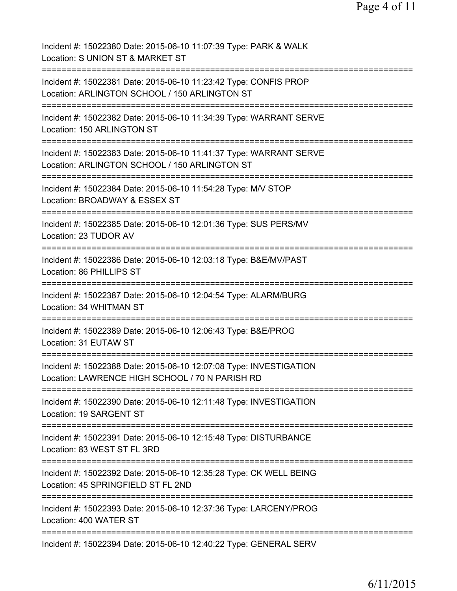| Incident #: 15022380 Date: 2015-06-10 11:07:39 Type: PARK & WALK<br>Location: S UNION ST & MARKET ST                  |
|-----------------------------------------------------------------------------------------------------------------------|
| Incident #: 15022381 Date: 2015-06-10 11:23:42 Type: CONFIS PROP<br>Location: ARLINGTON SCHOOL / 150 ARLINGTON ST     |
| Incident #: 15022382 Date: 2015-06-10 11:34:39 Type: WARRANT SERVE<br>Location: 150 ARLINGTON ST                      |
| Incident #: 15022383 Date: 2015-06-10 11:41:37 Type: WARRANT SERVE<br>Location: ARLINGTON SCHOOL / 150 ARLINGTON ST   |
| Incident #: 15022384 Date: 2015-06-10 11:54:28 Type: M/V STOP<br>Location: BROADWAY & ESSEX ST                        |
| Incident #: 15022385 Date: 2015-06-10 12:01:36 Type: SUS PERS/MV<br>Location: 23 TUDOR AV                             |
| Incident #: 15022386 Date: 2015-06-10 12:03:18 Type: B&E/MV/PAST<br>Location: 86 PHILLIPS ST                          |
| Incident #: 15022387 Date: 2015-06-10 12:04:54 Type: ALARM/BURG<br>Location: 34 WHITMAN ST                            |
| Incident #: 15022389 Date: 2015-06-10 12:06:43 Type: B&E/PROG<br>Location: 31 EUTAW ST                                |
| Incident #: 15022388 Date: 2015-06-10 12:07:08 Type: INVESTIGATION<br>Location: LAWRENCE HIGH SCHOOL / 70 N PARISH RD |
| Incident #: 15022390 Date: 2015-06-10 12:11:48 Type: INVESTIGATION<br>Location: 19 SARGENT ST                         |
| Incident #: 15022391 Date: 2015-06-10 12:15:48 Type: DISTURBANCE<br>Location: 83 WEST ST FL 3RD                       |
| Incident #: 15022392 Date: 2015-06-10 12:35:28 Type: CK WELL BEING<br>Location: 45 SPRINGFIELD ST FL 2ND              |
| Incident #: 15022393 Date: 2015-06-10 12:37:36 Type: LARCENY/PROG<br>Location: 400 WATER ST                           |
| Incident #: 15022394 Date: 2015-06-10 12:40:22 Type: GENERAL SERV                                                     |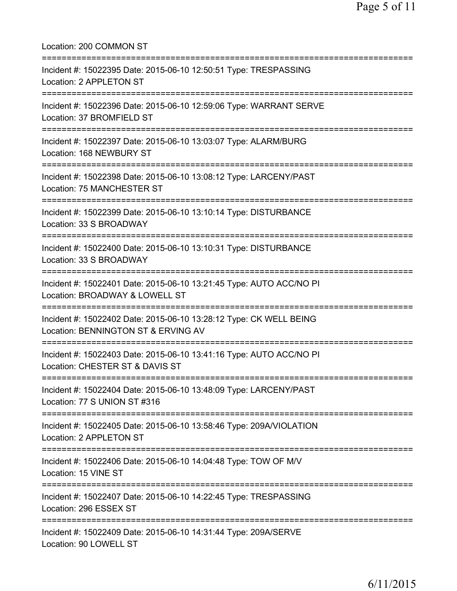| Location: 200 COMMON ST                                                                                                                    |
|--------------------------------------------------------------------------------------------------------------------------------------------|
| Incident #: 15022395 Date: 2015-06-10 12:50:51 Type: TRESPASSING<br>Location: 2 APPLETON ST<br>==========================                  |
| Incident #: 15022396 Date: 2015-06-10 12:59:06 Type: WARRANT SERVE<br>Location: 37 BROMFIELD ST<br>================================        |
| Incident #: 15022397 Date: 2015-06-10 13:03:07 Type: ALARM/BURG<br>Location: 168 NEWBURY ST<br>.====================================       |
| Incident #: 15022398 Date: 2015-06-10 13:08:12 Type: LARCENY/PAST<br>Location: 75 MANCHESTER ST                                            |
| Incident #: 15022399 Date: 2015-06-10 13:10:14 Type: DISTURBANCE<br>Location: 33 S BROADWAY                                                |
| Incident #: 15022400 Date: 2015-06-10 13:10:31 Type: DISTURBANCE<br>Location: 33 S BROADWAY                                                |
| Incident #: 15022401 Date: 2015-06-10 13:21:45 Type: AUTO ACC/NO PI<br>Location: BROADWAY & LOWELL ST<br>:=========================        |
| Incident #: 15022402 Date: 2015-06-10 13:28:12 Type: CK WELL BEING<br>Location: BENNINGTON ST & ERVING AV<br>============================= |
| Incident #: 15022403 Date: 2015-06-10 13:41:16 Type: AUTO ACC/NO PI<br>Location: CHESTER ST & DAVIS ST                                     |
| =========================<br>Incident #: 15022404 Date: 2015-06-10 13:48:09 Type: LARCENY/PAST<br>Location: 77 S UNION ST #316             |
| Incident #: 15022405 Date: 2015-06-10 13:58:46 Type: 209A/VIOLATION<br>Location: 2 APPLETON ST                                             |
| Incident #: 15022406 Date: 2015-06-10 14:04:48 Type: TOW OF M/V<br>Location: 15 VINE ST                                                    |
| Incident #: 15022407 Date: 2015-06-10 14:22:45 Type: TRESPASSING<br>Location: 296 ESSEX ST                                                 |
| Incident #: 15022409 Date: 2015-06-10 14:31:44 Type: 209A/SERVE<br>Location: 90 LOWELL ST                                                  |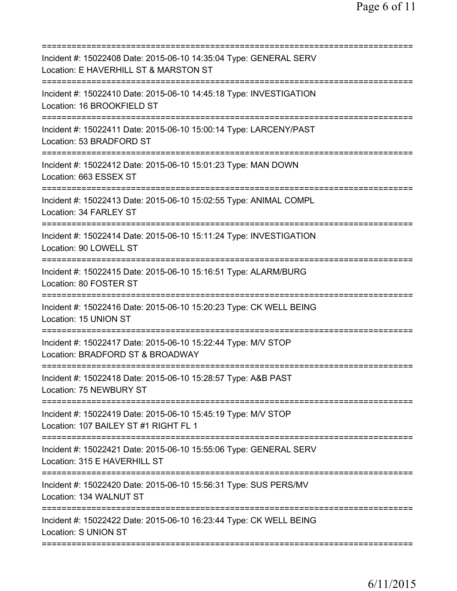| Incident #: 15022408 Date: 2015-06-10 14:35:04 Type: GENERAL SERV<br>Location: E HAVERHILL ST & MARSTON ST |
|------------------------------------------------------------------------------------------------------------|
| Incident #: 15022410 Date: 2015-06-10 14:45:18 Type: INVESTIGATION<br>Location: 16 BROOKFIELD ST           |
| Incident #: 15022411 Date: 2015-06-10 15:00:14 Type: LARCENY/PAST<br>Location: 53 BRADFORD ST              |
| Incident #: 15022412 Date: 2015-06-10 15:01:23 Type: MAN DOWN<br>Location: 663 ESSEX ST                    |
| Incident #: 15022413 Date: 2015-06-10 15:02:55 Type: ANIMAL COMPL<br>Location: 34 FARLEY ST                |
| Incident #: 15022414 Date: 2015-06-10 15:11:24 Type: INVESTIGATION<br>Location: 90 LOWELL ST               |
| Incident #: 15022415 Date: 2015-06-10 15:16:51 Type: ALARM/BURG<br>Location: 80 FOSTER ST                  |
| Incident #: 15022416 Date: 2015-06-10 15:20:23 Type: CK WELL BEING<br>Location: 15 UNION ST                |
| Incident #: 15022417 Date: 2015-06-10 15:22:44 Type: M/V STOP<br>Location: BRADFORD ST & BROADWAY          |
| Incident #: 15022418 Date: 2015-06-10 15:28:57 Type: A&B PAST<br>Location: 75 NEWBURY ST                   |
| Incident #: 15022419 Date: 2015-06-10 15:45:19 Type: M/V STOP<br>Location: 107 BAILEY ST #1 RIGHT FL 1     |
| Incident #: 15022421 Date: 2015-06-10 15:55:06 Type: GENERAL SERV<br>Location: 315 E HAVERHILL ST          |
| Incident #: 15022420 Date: 2015-06-10 15:56:31 Type: SUS PERS/MV<br>Location: 134 WALNUT ST                |
| Incident #: 15022422 Date: 2015-06-10 16:23:44 Type: CK WELL BEING<br>Location: S UNION ST                 |
|                                                                                                            |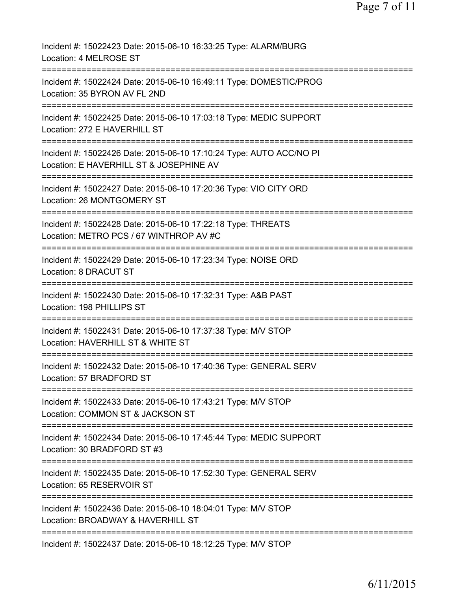| Incident #: 15022423 Date: 2015-06-10 16:33:25 Type: ALARM/BURG<br>Location: 4 MELROSE ST                                     |
|-------------------------------------------------------------------------------------------------------------------------------|
| Incident #: 15022424 Date: 2015-06-10 16:49:11 Type: DOMESTIC/PROG<br>Location: 35 BYRON AV FL 2ND                            |
| Incident #: 15022425 Date: 2015-06-10 17:03:18 Type: MEDIC SUPPORT<br>Location: 272 E HAVERHILL ST                            |
| Incident #: 15022426 Date: 2015-06-10 17:10:24 Type: AUTO ACC/NO PI<br>Location: E HAVERHILL ST & JOSEPHINE AV                |
| Incident #: 15022427 Date: 2015-06-10 17:20:36 Type: VIO CITY ORD<br>Location: 26 MONTGOMERY ST<br>==========                 |
| Incident #: 15022428 Date: 2015-06-10 17:22:18 Type: THREATS<br>Location: METRO PCS / 67 WINTHROP AV #C                       |
| Incident #: 15022429 Date: 2015-06-10 17:23:34 Type: NOISE ORD<br>Location: 8 DRACUT ST<br>================================== |
| Incident #: 15022430 Date: 2015-06-10 17:32:31 Type: A&B PAST<br>Location: 198 PHILLIPS ST                                    |
| Incident #: 15022431 Date: 2015-06-10 17:37:38 Type: M/V STOP<br>Location: HAVERHILL ST & WHITE ST                            |
| Incident #: 15022432 Date: 2015-06-10 17:40:36 Type: GENERAL SERV<br>Location: 57 BRADFORD ST                                 |
| Incident #: 15022433 Date: 2015-06-10 17:43:21 Type: M/V STOP<br>Location: COMMON ST & JACKSON ST                             |
| Incident #: 15022434 Date: 2015-06-10 17:45:44 Type: MEDIC SUPPORT<br>Location: 30 BRADFORD ST #3                             |
| Incident #: 15022435 Date: 2015-06-10 17:52:30 Type: GENERAL SERV<br>Location: 65 RESERVOIR ST                                |
| Incident #: 15022436 Date: 2015-06-10 18:04:01 Type: M/V STOP<br>Location: BROADWAY & HAVERHILL ST                            |
| Incident #: 15022437 Date: 2015-06-10 18:12:25 Type: M/V STOP                                                                 |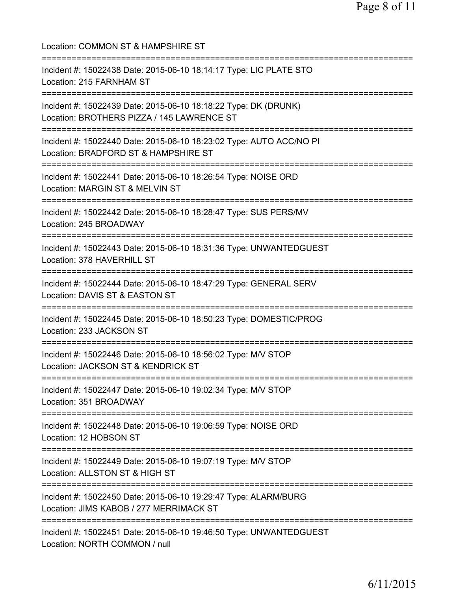Location: COMMON ST & HAMPSHIRE ST =========================================================================== Incident #: 15022438 Date: 2015-06-10 18:14:17 Type: LIC PLATE STO Location: 215 FARNHAM ST =========================================================================== Incident #: 15022439 Date: 2015-06-10 18:18:22 Type: DK (DRUNK) Location: BROTHERS PIZZA / 145 LAWRENCE ST =========================================================================== Incident #: 15022440 Date: 2015-06-10 18:23:02 Type: AUTO ACC/NO PI Location: BRADFORD ST & HAMPSHIRE ST =========================================================================== Incident #: 15022441 Date: 2015-06-10 18:26:54 Type: NOISE ORD Location: MARGIN ST & MELVIN ST =========================================================================== Incident #: 15022442 Date: 2015-06-10 18:28:47 Type: SUS PERS/MV Location: 245 BROADWAY =========================================================================== Incident #: 15022443 Date: 2015-06-10 18:31:36 Type: UNWANTEDGUEST Location: 378 HAVERHILL ST =========================================================================== Incident #: 15022444 Date: 2015-06-10 18:47:29 Type: GENERAL SERV Location: DAVIS ST & EASTON ST =========================================================================== Incident #: 15022445 Date: 2015-06-10 18:50:23 Type: DOMESTIC/PROG Location: 233 JACKSON ST =========================================================================== Incident #: 15022446 Date: 2015-06-10 18:56:02 Type: M/V STOP Location: JACKSON ST & KENDRICK ST =========================================================================== Incident #: 15022447 Date: 2015-06-10 19:02:34 Type: M/V STOP Location: 351 BROADWAY =========================================================================== Incident #: 15022448 Date: 2015-06-10 19:06:59 Type: NOISE ORD Location: 12 HOBSON ST =========================================================================== Incident #: 15022449 Date: 2015-06-10 19:07:19 Type: M/V STOP Location: ALLSTON ST & HIGH ST =========================================================================== Incident #: 15022450 Date: 2015-06-10 19:29:47 Type: ALARM/BURG Location: JIMS KABOB / 277 MERRIMACK ST =========================================================================== Incident #: 15022451 Date: 2015-06-10 19:46:50 Type: UNWANTEDGUEST Location: NORTH COMMON / null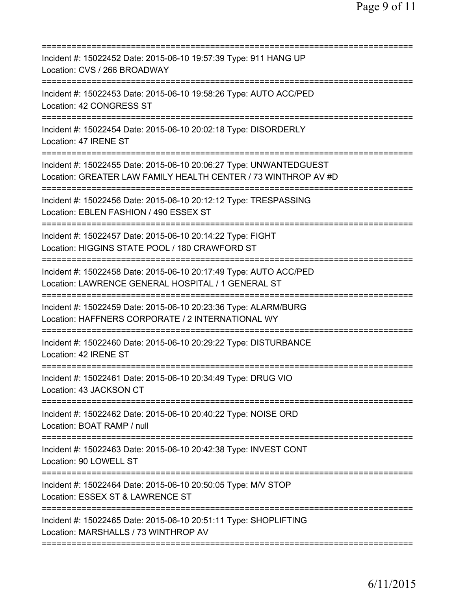| Incident #: 15022452 Date: 2015-06-10 19:57:39 Type: 911 HANG UP<br>Location: CVS / 266 BROADWAY                                     |
|--------------------------------------------------------------------------------------------------------------------------------------|
| Incident #: 15022453 Date: 2015-06-10 19:58:26 Type: AUTO ACC/PED<br>Location: 42 CONGRESS ST                                        |
| Incident #: 15022454 Date: 2015-06-10 20:02:18 Type: DISORDERLY<br>Location: 47 IRENE ST                                             |
| Incident #: 15022455 Date: 2015-06-10 20:06:27 Type: UNWANTEDGUEST<br>Location: GREATER LAW FAMILY HEALTH CENTER / 73 WINTHROP AV #D |
| Incident #: 15022456 Date: 2015-06-10 20:12:12 Type: TRESPASSING<br>Location: EBLEN FASHION / 490 ESSEX ST                           |
| Incident #: 15022457 Date: 2015-06-10 20:14:22 Type: FIGHT<br>Location: HIGGINS STATE POOL / 180 CRAWFORD ST                         |
| Incident #: 15022458 Date: 2015-06-10 20:17:49 Type: AUTO ACC/PED<br>Location: LAWRENCE GENERAL HOSPITAL / 1 GENERAL ST              |
| Incident #: 15022459 Date: 2015-06-10 20:23:36 Type: ALARM/BURG<br>Location: HAFFNERS CORPORATE / 2 INTERNATIONAL WY                 |
| Incident #: 15022460 Date: 2015-06-10 20:29:22 Type: DISTURBANCE<br>Location: 42 IRENE ST                                            |
| Incident #: 15022461 Date: 2015-06-10 20:34:49 Type: DRUG VIO<br>Location: 43 JACKSON CT                                             |
| Incident #: 15022462 Date: 2015-06-10 20:40:22 Type: NOISE ORD<br>Location: BOAT RAMP / null                                         |
| Incident #: 15022463 Date: 2015-06-10 20:42:38 Type: INVEST CONT<br>Location: 90 LOWELL ST                                           |
| Incident #: 15022464 Date: 2015-06-10 20:50:05 Type: M/V STOP<br>Location: ESSEX ST & LAWRENCE ST                                    |
| Incident #: 15022465 Date: 2015-06-10 20:51:11 Type: SHOPLIFTING<br>Location: MARSHALLS / 73 WINTHROP AV                             |
|                                                                                                                                      |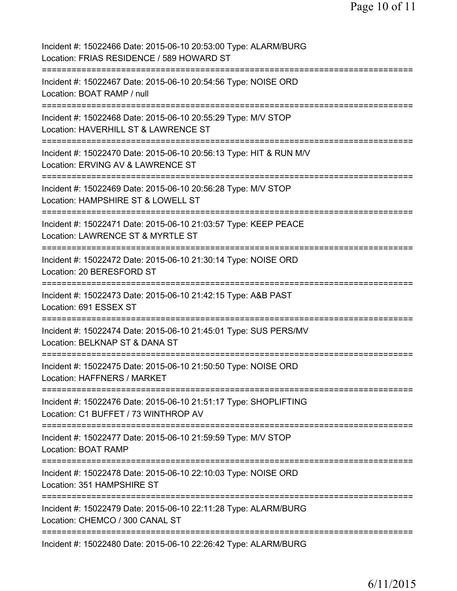| Incident #: 15022466 Date: 2015-06-10 20:53:00 Type: ALARM/BURG<br>Location: FRIAS RESIDENCE / 589 HOWARD ST                                          |
|-------------------------------------------------------------------------------------------------------------------------------------------------------|
| Incident #: 15022467 Date: 2015-06-10 20:54:56 Type: NOISE ORD<br>Location: BOAT RAMP / null                                                          |
| Incident #: 15022468 Date: 2015-06-10 20:55:29 Type: M/V STOP<br>Location: HAVERHILL ST & LAWRENCE ST                                                 |
| Incident #: 15022470 Date: 2015-06-10 20:56:13 Type: HIT & RUN M/V<br>Location: ERVING AV & LAWRENCE ST                                               |
| Incident #: 15022469 Date: 2015-06-10 20:56:28 Type: M/V STOP<br>Location: HAMPSHIRE ST & LOWELL ST<br>:=======================<br>:================= |
| Incident #: 15022471 Date: 2015-06-10 21:03:57 Type: KEEP PEACE<br>Location: LAWRENCE ST & MYRTLE ST                                                  |
| Incident #: 15022472 Date: 2015-06-10 21:30:14 Type: NOISE ORD<br>Location: 20 BERESFORD ST                                                           |
| Incident #: 15022473 Date: 2015-06-10 21:42:15 Type: A&B PAST<br>Location: 691 ESSEX ST<br>=====================================                      |
| Incident #: 15022474 Date: 2015-06-10 21:45:01 Type: SUS PERS/MV<br>Location: BELKNAP ST & DANA ST                                                    |
| Incident #: 15022475 Date: 2015-06-10 21:50:50 Type: NOISE ORD<br>Location: HAFFNERS / MARKET                                                         |
| Incident #: 15022476 Date: 2015-06-10 21:51:17 Type: SHOPLIFTING<br>Location: C1 BUFFET / 73 WINTHROP AV                                              |
| Incident #: 15022477 Date: 2015-06-10 21:59:59 Type: M/V STOP<br>Location: BOAT RAMP<br>==============================                                |
| Incident #: 15022478 Date: 2015-06-10 22:10:03 Type: NOISE ORD<br>Location: 351 HAMPSHIRE ST                                                          |
| ======================<br>Incident #: 15022479 Date: 2015-06-10 22:11:28 Type: ALARM/BURG<br>Location: CHEMCO / 300 CANAL ST                          |
| =============<br>Incident #: 15022480 Date: 2015-06-10 22:26:42 Type: ALARM/BURG                                                                      |